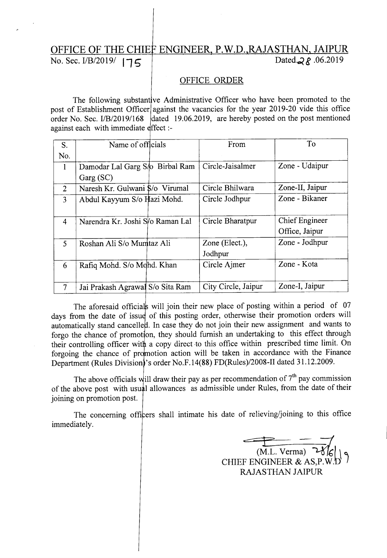## OFFICE OF THE CHIEF ENGINEER, P.W.D.,RAJASTHAN, JAIPUR<br>No. Sec. 1/B/2019/  $175$ No. Sec. *I/B/2019*/ 175

## OFFICE ORDER

The following substantive Administrative Officer who have been promoted to the post of Establishment Officer against the vacancies for the year 2019-20 vide this office order No. Sec. I/B/2019/168 dated 19.06.2019, are hereby posted on the post mentioned against each with immediate effect :-

| S.             | Name of officials                | From                | To              |
|----------------|----------------------------------|---------------------|-----------------|
| No.            |                                  |                     |                 |
| $\mathbf{1}$   | Damodar Lal Garg S/o Birbal Ram  | Circle-Jaisalmer    | Zone - Udaipur  |
|                | Garg (SC)                        |                     |                 |
| 2              | Naresh Kr. Gulwani \$/o Virumal  | Circle Bhilwara     | Zone-II, Jaipur |
| 3              | Abdul Kayyum S/o Hazi Mohd.      | Circle Jodhpur      | Zone - Bikaner  |
|                |                                  |                     |                 |
| $\overline{4}$ | Narendra Kr. Joshi S/o Raman Lal | Circle Bharatpur    | Chief Engineer  |
|                |                                  |                     | Office, Jaipur  |
| 5              | Roshan Ali S/o Mumtaz Ali        | Zone (Elect.),      | Zone - Jodhpur  |
|                |                                  | Jodhpur             |                 |
| 6              | Rafiq Mohd. S/o Mohd. Khan       | Circle Ajmer        | Zone - Kota     |
|                |                                  |                     |                 |
| $\overline{7}$ | Jai Prakash Agrawal S/o Sita Ram | City Circle, Jaipur | Zone-I, Jaipur  |

The aforesaid officials will join their new place of posting within a period of 07 days from the date of issue of this posting order, otherwise their promotion orders will automatically stand cancelled. In case they do not join their new assignment and wants to forgo the chance of promotion, they should furnish an undertaking to this effect through their controlling officer with a copy direct to this office within prescribed time limit. On forgoing the chance of promotion action will be taken in accordance with the Finance Department (Rules Division's order No.F.14(88) *FD(Rules)/2008-II* dated 31.12.2009.

The above officials will draw their pay as per recommendation of  $7<sup>th</sup>$  pay commission of the above post with usual allowances as admissible under Rules, from the date of their joining on promotion post.

The concerning officers shall intimate his date of relieving/joining to this office immediately.

 $\frac{1}{(ML \text{ Verma})}$   $\frac{1}{2\sqrt{C}}$  $(M.L. \text{ Verma})$   $\mathcal{C}$ <sup>1</sup> CHIEF ENGINEER & AS,P.W.t) RAJASTHAN JAIPUR